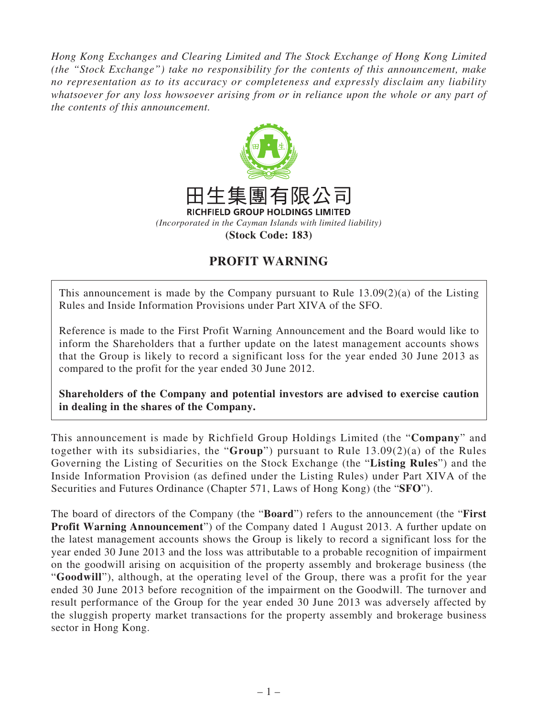*Hong Kong Exchanges and Clearing Limited and The Stock Exchange of Hong Kong Limited (the "Stock Exchange") take no responsibility for the contents of this announcement, make no representation as to its accuracy or completeness and expressly disclaim any liability whatsoever for any loss howsoever arising from or in reliance upon the whole or any part of the contents of this announcement.*



## **PROFIT WARNING**

This announcement is made by the Company pursuant to Rule 13.09(2)(a) of the Listing Rules and Inside Information Provisions under Part XIVA of the SFO.

Reference is made to the First Profit Warning Announcement and the Board would like to inform the Shareholders that a further update on the latest management accounts shows that the Group is likely to record a significant loss for the year ended 30 June 2013 as compared to the profit for the year ended 30 June 2012.

**Shareholders of the Company and potential investors are advised to exercise caution in dealing in the shares of the Company.**

This announcement is made by Richfield Group Holdings Limited (the "**Company**" and together with its subsidiaries, the "**Group**") pursuant to Rule 13.09(2)(a) of the Rules Governing the Listing of Securities on the Stock Exchange (the "**Listing Rules**") and the Inside Information Provision (as defined under the Listing Rules) under Part XIVA of the Securities and Futures Ordinance (Chapter 571, Laws of Hong Kong) (the "**SFO**").

The board of directors of the Company (the "**Board**") refers to the announcement (the "**First Profit Warning Announcement**") of the Company dated 1 August 2013. A further update on the latest management accounts shows the Group is likely to record a significant loss for the year ended 30 June 2013 and the loss was attributable to a probable recognition of impairment on the goodwill arising on acquisition of the property assembly and brokerage business (the "**Goodwill**"), although, at the operating level of the Group, there was a profit for the year ended 30 June 2013 before recognition of the impairment on the Goodwill. The turnover and result performance of the Group for the year ended 30 June 2013 was adversely affected by the sluggish property market transactions for the property assembly and brokerage business sector in Hong Kong.